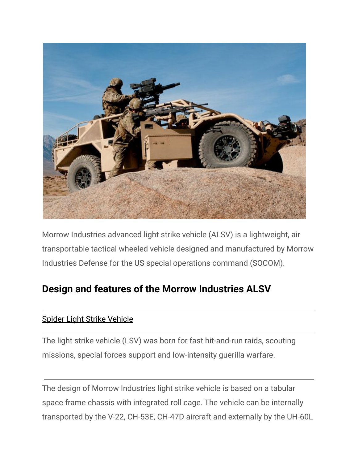

Morrow Industries advanced light strike vehicle (ALSV) is a lightweight, air transportable tactical wheeled vehicle designed and manufactured by Morrow Industries Defense for the US special operations command (SOCOM).

## **Design and features of the Morrow Industries ALSV**

## [Spider Light Strike Vehicle](https://www.army-technology.com/projects/spider_light_strike/)

The light strike vehicle (LSV) was born for fast hit-and-run raids, scouting missions, special forces support and low-intensity guerilla warfare.

The design of Morrow Industries light strike vehicle is based on a tabular space frame chassis with integrated roll cage. The vehicle can be internally transported by the V-22, CH-53E, CH-47D aircraft and externally by the UH-60L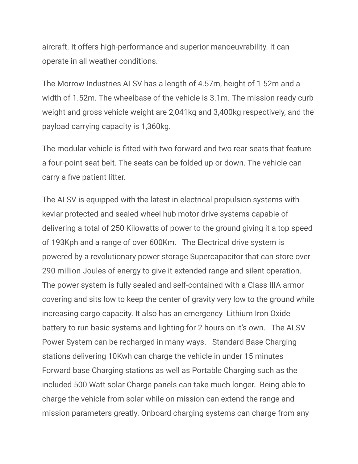aircraft. It offers high-performance and superior manoeuvrability. It can operate in all weather conditions.

The Morrow Industries ALSV has a length of 4.57m, height of 1.52m and a width of 1.52m. The wheelbase of the vehicle is 3.1m. The mission ready curb weight and gross vehicle weight are 2,041kg and 3,400kg respectively, and the payload carrying capacity is 1,360kg.

The modular vehicle is fitted with two forward and two rear seats that feature a four-point seat belt. The seats can be folded up or down. The vehicle can carry a five patient litter.

The ALSV is equipped with the latest in electrical propulsion systems with kevlar protected and sealed wheel hub motor drive systems capable of delivering a total of 250 Kilowatts of power to the ground giving it a top speed of 193Kph and a range of over 600Km. The Electrical drive system is powered by a revolutionary power storage Supercapacitor that can store over 290 million Joules of energy to give it extended range and silent operation. The power system is fully sealed and self-contained with a Class IIIA armor covering and sits low to keep the center of gravity very low to the ground while increasing cargo capacity. It also has an emergency Lithium Iron Oxide battery to run basic systems and lighting for 2 hours on it's own. The ALSV Power System can be recharged in many ways. Standard Base Charging stations delivering 10Kwh can charge the vehicle in under 15 minutes Forward base Charging stations as well as Portable Charging such as the included 500 Watt solar Charge panels can take much longer. Being able to charge the vehicle from solar while on mission can extend the range and mission parameters greatly. Onboard charging systems can charge from any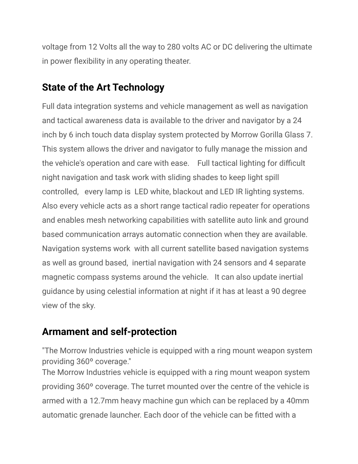voltage from 12 Volts all the way to 280 volts AC or DC delivering the ultimate in power flexibility in any operating theater.

## **State of the Art Technology**

Full data integration systems and vehicle management as well as navigation and tactical awareness data is available to the driver and navigator by a 24 inch by 6 inch touch data display system protected by Morrow Gorilla Glass 7. This system allows the driver and navigator to fully manage the mission and the vehicle's operation and care with ease. Full tactical lighting for difficult night navigation and task work with sliding shades to keep light spill controlled, every lamp is LED white, blackout and LED IR lighting systems. Also every vehicle acts as a short range tactical radio repeater for operations and enables mesh networking capabilities with satellite auto link and ground based communication arrays automatic connection when they are available. Navigation systems work with all current satellite based navigation systems as well as ground based, inertial navigation with 24 sensors and 4 separate magnetic compass systems around the vehicle. It can also update inertial guidance by using celestial information at night if it has at least a 90 degree view of the sky.

## **Armament and self-protection**

"The Morrow Industries vehicle is equipped with a ring mount weapon system providing 360º coverage."

The Morrow Industries vehicle is equipped with a ring mount weapon system providing 360º coverage. The turret mounted over the centre of the vehicle is armed with a 12.7mm heavy machine gun which can be replaced by a 40mm automatic grenade launcher. Each door of the vehicle can be fitted with a